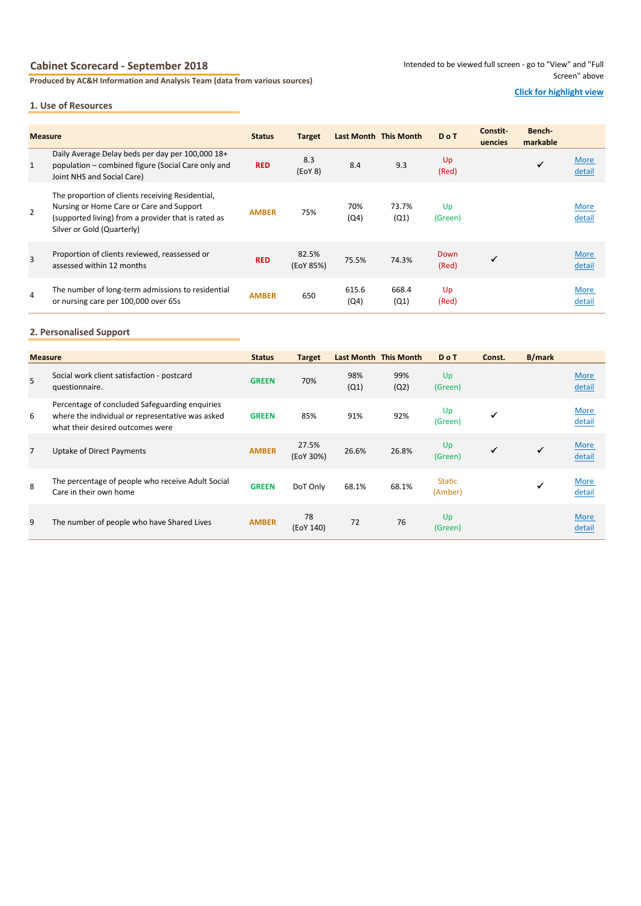# **Cabinet Scorecard - September 2018**

**Produced by AC&H Information and Analysis Team (data from various sources)**

### **1. Use of Resources**

# **Click for highlight view**

| <b>Measure</b> |                                                                                                                                                                                   | <b>Status</b> | <b>Target</b>      |               | Last Month This Month | <b>DoT</b>    | Constit-<br>uencies | Bench-<br>markable |                       |
|----------------|-----------------------------------------------------------------------------------------------------------------------------------------------------------------------------------|---------------|--------------------|---------------|-----------------------|---------------|---------------------|--------------------|-----------------------|
| 1              | Daily Average Delay beds per day per 100,000 18+<br>population – combined figure (Social Care only and<br>Joint NHS and Social Care)                                              | <b>RED</b>    | 8.3<br>(EOY 8)     | 8.4           | 9.3                   | Up<br>(Red)   |                     | ✓                  | More<br>detail        |
| $\overline{2}$ | The proportion of clients receiving Residential,<br>Nursing or Home Care or Care and Support<br>(supported living) from a provider that is rated as<br>Silver or Gold (Quarterly) | <b>AMBER</b>  | 75%                | 70%<br>(Q4)   | 73.7%<br>(Q1)         | Up<br>(Green) |                     |                    | More<br>detail        |
| $\overline{3}$ | Proportion of clients reviewed, reassessed or<br>assessed within 12 months                                                                                                        | <b>RED</b>    | 82.5%<br>(EoY 85%) | 75.5%         | 74.3%                 | Down<br>(Red) | $\checkmark$        |                    | <b>More</b><br>detail |
| $\overline{4}$ | The number of long-term admissions to residential<br>or nursing care per 100,000 over 65s                                                                                         | <b>AMBER</b>  | 650                | 615.6<br>(Q4) | 668.4<br>(Q1)         | Up<br>(Red)   |                     |                    | <b>More</b><br>detail |

# **2. Personalised Support**

| <b>Measure</b> |                                                                                                                                        | <b>Status</b> | <b>Target</b>      | <b>Last Month This Month</b> |             | <b>DoT</b>               | Const.       | <b>B/mark</b> |                       |
|----------------|----------------------------------------------------------------------------------------------------------------------------------------|---------------|--------------------|------------------------------|-------------|--------------------------|--------------|---------------|-----------------------|
| 5              | Social work client satisfaction - postcard<br>questionnaire.                                                                           | <b>GREEN</b>  | 70%                | 98%<br>(Q1)                  | 99%<br>(Q2) | Up<br>(Green)            |              |               | <b>More</b><br>detail |
| 6              | Percentage of concluded Safeguarding enquiries<br>where the individual or representative was asked<br>what their desired outcomes were | <b>GREEN</b>  | 85%                | 91%                          | 92%         | Up<br>(Green)            | $\checkmark$ |               | More<br>detail        |
| $\overline{7}$ | Uptake of Direct Payments                                                                                                              | <b>AMBER</b>  | 27.5%<br>(EoY 30%) | 26.6%                        | 26.8%       | Up<br>(Green)            | ✓            | $\checkmark$  | <b>More</b><br>detail |
| 8              | The percentage of people who receive Adult Social<br>Care in their own home                                                            | <b>GREEN</b>  | DoT Only           | 68.1%                        | 68.1%       | <b>Static</b><br>(Amber) |              |               | More<br>detail        |
| 9              | The number of people who have Shared Lives                                                                                             | <b>AMBER</b>  | 78<br>(EoY 140)    | 72                           | 76          | Up<br>(Green)            |              |               | <b>More</b><br>detail |